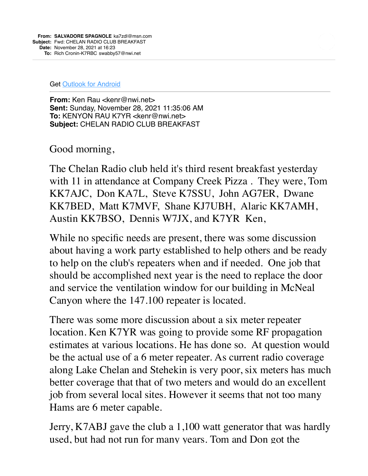Get [Outlook for Android](https://linkprotect.cudasvc.com/url?a=https%3a%2f%2faka.ms%2fAAb9ysg&c=E,1,-w0VidMhH5sFbPWJjOFeMhNfl2rdjJR-4VIEXNuTNDjgbV0eU0T3-uojmXS7120q8eDKwDEMsaTKlYlRct1v3MDOFJr7Dw458NItwpQcReM4eRqtd-siYhgo&typo=1)

**From:** Ken Rau <kenr@nwi.net> **Sent:** Sunday, November 28, 2021 11:35:06 AM **To:** KENYON RAU K7YR <kenr@nwi.net> **Subject:** CHELAN RADIO CLUB BREAKFAST

Good morning,

The Chelan Radio club held it's third resent breakfast yesterday with 11 in attendance at Company Creek Pizza . They were, Tom KK7AJC, Don KA7L, Steve K7SSU, John AG7ER, Dwane KK7BED, Matt K7MVF, Shane KJ7UBH, Alaric KK7AMH, Austin KK7BSO, Dennis W7JX, and K7YR Ken,

While no specific needs are present, there was some discussion about having a work party established to help others and be ready to help on the club's repeaters when and if needed. One job that should be accomplished next year is the need to replace the door and service the ventilation window for our building in McNeal Canyon where the 147.100 repeater is located.

There was some more discussion about a six meter repeater location. Ken K7YR was going to provide some RF propagation estimates at various locations. He has done so. At question would be the actual use of a 6 meter repeater. As current radio coverage along Lake Chelan and Stehekin is very poor, six meters has much better coverage that that of two meters and would do an excellent job from several local sites. However it seems that not too many Hams are 6 meter capable.

Jerry, K7ABJ gave the club a 1,100 watt generator that was hardly used, but had not run for many years. Tom and Don got the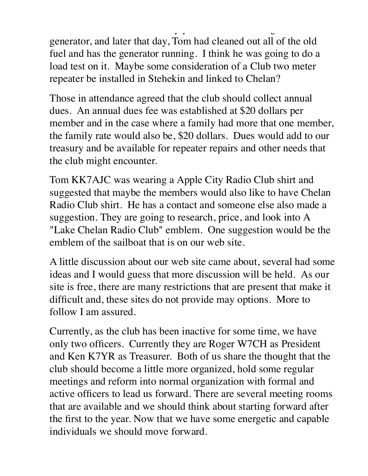used, but had not run for many years. Tom and Don got the generator, and later that day, Tom had cleaned out all of the old fuel and has the generator running. I think he was going to do a load test on it. Maybe some consideration of a Club two meter repeater be installed in Stehekin and linked to Chelan?

Those in attendance agreed that the club should collect annual dues. An annual dues fee was established at \$20 dollars per member and in the case where a family had more that one member, the family rate would also be, \$20 dollars. Dues would add to our treasury and be available for repeater repairs and other needs that the club might encounter.

Tom KK7AJC was wearing a Apple City Radio Club shirt and suggested that maybe the members would also like to have Chelan Radio Club shirt. He has a contact and someone else also made a suggestion. They are going to research, price, and look into A "Lake Chelan Radio Club" emblem. One suggestion would be the emblem of the sailboat that is on our web site.

A little discussion about our web site came about, several had some ideas and I would guess that more discussion will be held. As our site is free, there are many restrictions that are present that make it difficult and, these sites do not provide may options. More to follow I am assured.

Currently, as the club has been inactive for some time, we have only two officers. Currently they are Roger W7CH as President and Ken K7YR as Treasurer. Both of us share the thought that the club should become a little more organized, hold some regular meetings and reform into normal organization with formal and active officers to lead us forward. There are several meeting rooms that are available and we should think about starting forward after the first to the year. Now that we have some energetic and capable individuals we should move forward.